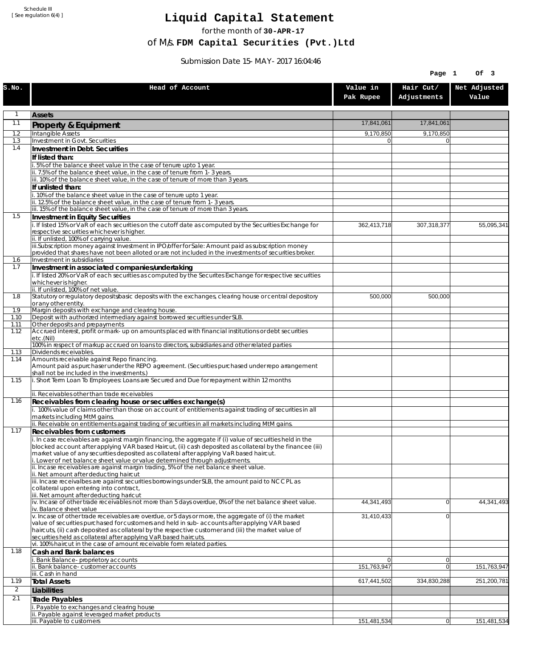Schedule III [ See regulation 6(4) ]

## **Liquid Capital Statement**

for the month of **30-APR-17**

of M/s. **FDM Capital Securities (Pvt.)Ltd**

Submission Date 15-MAY-2017 16:04:46

|              |                                                                                                                                                                                                                                                                                                                                                                                                                                                                                             |                       | Page 1                   | Of 3                  |
|--------------|---------------------------------------------------------------------------------------------------------------------------------------------------------------------------------------------------------------------------------------------------------------------------------------------------------------------------------------------------------------------------------------------------------------------------------------------------------------------------------------------|-----------------------|--------------------------|-----------------------|
| S.NO.        | Head of Account                                                                                                                                                                                                                                                                                                                                                                                                                                                                             | Value in<br>Pak Rupee | Hair Cut/<br>Adjustments | Net Adjusted<br>Value |
| $\mathbf{1}$ | <b>Assets</b>                                                                                                                                                                                                                                                                                                                                                                                                                                                                               |                       |                          |                       |
| 1.1          | Property & Equipment                                                                                                                                                                                                                                                                                                                                                                                                                                                                        | 17,841,061            | 17,841,061               |                       |
| 1.2          | Intangible Assets                                                                                                                                                                                                                                                                                                                                                                                                                                                                           | 9,170,850             | 9,170,850                |                       |
| 1.3<br>1.4   | Investment in Govt. Securities                                                                                                                                                                                                                                                                                                                                                                                                                                                              | $\Omega$              | $\Omega$                 |                       |
|              | Investment in Debt. Securities<br>If listed than:                                                                                                                                                                                                                                                                                                                                                                                                                                           |                       |                          |                       |
|              | 5% of the balance sheet value in the case of tenure upto 1 year.                                                                                                                                                                                                                                                                                                                                                                                                                            |                       |                          |                       |
|              | ii. 7.5% of the balance sheet value, in the case of tenure from 1-3 years.                                                                                                                                                                                                                                                                                                                                                                                                                  |                       |                          |                       |
|              | iii. 10% of the balance sheet value, in the case of tenure of more than 3 years.<br>If unlisted than:                                                                                                                                                                                                                                                                                                                                                                                       |                       |                          |                       |
|              | 10% of the balance sheet value in the case of tenure upto 1 year.                                                                                                                                                                                                                                                                                                                                                                                                                           |                       |                          |                       |
|              | ii. 12.5% of the balance sheet value, in the case of tenure from 1-3 years.                                                                                                                                                                                                                                                                                                                                                                                                                 |                       |                          |                       |
| 1.5          | iii. 15% of the balance sheet value, in the case of tenure of more than 3 years.                                                                                                                                                                                                                                                                                                                                                                                                            |                       |                          |                       |
|              | <b>Investment in Equity Securities</b><br>i. If listed 15% or VaR of each securities on the cutoff date as computed by the Securities Exchange for<br>respective securities whichever is higher.                                                                                                                                                                                                                                                                                            | 362,413,718           | 307,318,377              | 55,095,341            |
|              | ii. If unlisted, 100% of carrying value.<br>iii.Subscription money against Investment in IPO/offer for Sale: Amount paid as subscription money<br>provided that shares have not been alloted or are not included in the investments of securities broker.                                                                                                                                                                                                                                   |                       |                          |                       |
| 1.6<br>1.7   | Investment in subsidiaries                                                                                                                                                                                                                                                                                                                                                                                                                                                                  |                       |                          |                       |
|              | Investment in associated companies/undertaking<br>i. If listed 20% or VaR of each securities as computed by the Securites Exchange for respective securities<br>whichever is higher.                                                                                                                                                                                                                                                                                                        |                       |                          |                       |
| 1.8          | ii. If unlisted, 100% of net value.<br>Statutory or regulatory deposits/basic deposits with the exchanges, clearing house or central depository<br>or any other entity.                                                                                                                                                                                                                                                                                                                     | 500,000               | 500,000                  |                       |
| 1.9          | Margin deposits with exchange and clearing house.                                                                                                                                                                                                                                                                                                                                                                                                                                           |                       |                          |                       |
| 1.10         | Deposit with authorized intermediary against borrowed securities under SLB.                                                                                                                                                                                                                                                                                                                                                                                                                 |                       |                          |                       |
| 1.11<br>1.12 | Other deposits and prepayments<br>Accrued interest, profit or mark-up on amounts placed with financial institutions or debt securities                                                                                                                                                                                                                                                                                                                                                      |                       |                          |                       |
|              | etc.(Nil)<br>100% in respect of markup accrued on loans to directors, subsidiaries and other related parties                                                                                                                                                                                                                                                                                                                                                                                |                       |                          |                       |
| 1.13         | Dividends receivables.                                                                                                                                                                                                                                                                                                                                                                                                                                                                      |                       |                          |                       |
| 1.14         | Amounts receivable against Repo financing.<br>Amount paid as purchaser under the REPO agreement. (Securities purchased under repo arrangement<br>shall not be included in the investments.)                                                                                                                                                                                                                                                                                                 |                       |                          |                       |
| 1.15         | i. Short Term Loan To Employees: Loans are Secured and Due for repayment within 12 months                                                                                                                                                                                                                                                                                                                                                                                                   |                       |                          |                       |
| 1.16         | ii. Receivables other than trade receivables<br>Receivables from clearing house or securities exchange(s)                                                                                                                                                                                                                                                                                                                                                                                   |                       |                          |                       |
|              | i. 100% value of claims other than those on account of entitlements against trading of securities in all<br>markets including MtM gains.                                                                                                                                                                                                                                                                                                                                                    |                       |                          |                       |
| 1.17         | ii. Receivable on entitlements against trading of securities in all markets including MtM gains.<br>Receivables from customers                                                                                                                                                                                                                                                                                                                                                              |                       |                          |                       |
|              | i. In case receivables are against margin financing, the aggregate if (i) value of securities held in the<br>blocked account after applying VAR based Haircut, (ii) cash deposited as collateral by the financee (iii)<br>market value of any securities deposited as collateral after applying VaR based haircut.<br>i. Lower of net balance sheet value or value determined through adjustments.<br>ii. Incase receivables are against margin trading, 5% of the net balance sheet value. |                       |                          |                       |
|              | ii. Net amount after deducting haircut<br>iii. Incase receivalbes are against securities borrowings under SLB, the amount paid to NCCPL as<br>collateral upon entering into contract,                                                                                                                                                                                                                                                                                                       |                       |                          |                       |
|              | iii. Net amount after deducting haricut<br>iv. Incase of other trade receivables not more than 5 days overdue, 0% of the net balance sheet value.                                                                                                                                                                                                                                                                                                                                           | 44,341,493            | 0                        | 44.341.493            |
|              | iv. Balance sheet value<br>$\overline{v}$ . Incase of other trade receivables are overdue, or 5 days or more, the aggregate of (i) the market                                                                                                                                                                                                                                                                                                                                               | 31,410,433            | 0                        |                       |
|              | value of securities purchased for customers and held in sub-accounts after applying VAR based<br>haircuts, (ii) cash deposited as collateral by the respective customer and (iii) the market value of<br>securities held as collateral after applying VaR based haircuts.<br>vi. 100% haircut in the case of amount receivable form related parties.                                                                                                                                        |                       |                          |                       |
| 1.18         | Cash and Bank balances                                                                                                                                                                                                                                                                                                                                                                                                                                                                      |                       |                          |                       |
|              | Bank Balance-proprietory accounts                                                                                                                                                                                                                                                                                                                                                                                                                                                           | 0                     | $\overline{0}$           |                       |
|              | ii. Bank balance-customer accounts<br>iii. Cash in hand                                                                                                                                                                                                                                                                                                                                                                                                                                     | 151,763,947           | $\overline{0}$           | 151,763,947           |
| 1.19         | <b>Total Assets</b>                                                                                                                                                                                                                                                                                                                                                                                                                                                                         | 617,441,502           | 334,830,288              | 251,200,781           |
| 2            | Liabilities                                                                                                                                                                                                                                                                                                                                                                                                                                                                                 |                       |                          |                       |
| 2.1          | Trade Payables                                                                                                                                                                                                                                                                                                                                                                                                                                                                              |                       |                          |                       |
|              | . Payable to exchanges and clearing house<br>ii. Payable against leveraged market products                                                                                                                                                                                                                                                                                                                                                                                                  |                       |                          |                       |
|              | iii. Payable to customers                                                                                                                                                                                                                                                                                                                                                                                                                                                                   | 151,481,534           | 0                        | 151,481,534           |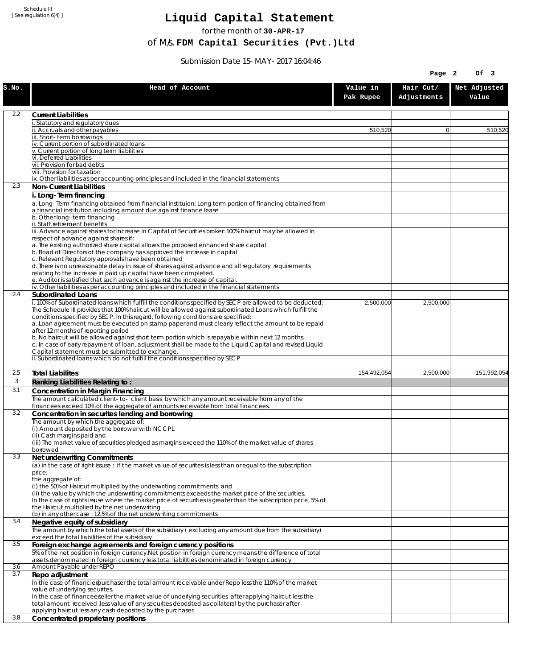Schedule III [ See regulation 6(4) ]

## **Liquid Capital Statement**

for the month of **30-APR-17**

of M/s. **FDM Capital Securities (Pvt.)Ltd**

Submission Date 15-MAY-2017 16:04:46

|            |                                                                                                                                                                               |                       | Page 2                   | Of 3                  |
|------------|-------------------------------------------------------------------------------------------------------------------------------------------------------------------------------|-----------------------|--------------------------|-----------------------|
| s.no.      | Head of Account                                                                                                                                                               | Value in<br>Pak Rupee | Hair Cut/<br>Adjustments | Net Adjusted<br>Value |
| 2.2        | <b>Current Liabilities</b>                                                                                                                                                    |                       |                          |                       |
|            | i. Statutory and regulatory dues                                                                                                                                              |                       |                          |                       |
|            | ii. Accruals and other payables                                                                                                                                               | 510,520               | $\overline{0}$           | 510,520               |
|            | iii. Short-term borrowings                                                                                                                                                    |                       |                          |                       |
|            | iv. Current portion of subordinated loans                                                                                                                                     |                       |                          |                       |
|            | v. Current portion of long term liabilities<br>vi. Deferred Liabilities                                                                                                       |                       |                          |                       |
|            | vii. Provision for bad debts                                                                                                                                                  |                       |                          |                       |
|            | viii. Provision for taxation                                                                                                                                                  |                       |                          |                       |
|            | ix. Other liabilities as per accounting principles and included in the financial statements                                                                                   |                       |                          |                       |
| 2.3        | Non-Current Liabilities                                                                                                                                                       |                       |                          |                       |
|            | i. Long-Term financing                                                                                                                                                        |                       |                          |                       |
|            | a. Long-Term financing obtained from financial instituion: Long term portion of financing obtained from<br>a financial institution including amount due against finance lease |                       |                          |                       |
|            | b. Other long-term financing                                                                                                                                                  |                       |                          |                       |
|            | ii. Staff retirement benefits                                                                                                                                                 |                       |                          |                       |
|            | iii. Advance against shares for Increase in Capital of Securities broker: 100% haircut may be allowed in<br>respect of advance against shares if:                             |                       |                          |                       |
|            | a. The existing authorized share capital allows the proposed enhanced share capital                                                                                           |                       |                          |                       |
|            | b. Boad of Directors of the company has approved the increase in capital                                                                                                      |                       |                          |                       |
|            | c. Relevant Regulatory approvals have been obtained                                                                                                                           |                       |                          |                       |
|            | d. There is no unreasonable delay in issue of shares against advance and all regulatory requirements                                                                          |                       |                          |                       |
|            | relating to the increase in paid up capital have been completed.<br>e. Auditor is satisfied that such advance is against the increase of capital.                             |                       |                          |                       |
|            | iv. Other liabilities as per accounting principles and included in the financial statements                                                                                   |                       |                          |                       |
| 2.4        | Subordinated Loans                                                                                                                                                            |                       |                          |                       |
|            | i. 100% of Subordinated loans which fulfill the conditions specified by SECP are allowed to be deducted:                                                                      | 2,500,000             | 2,500,000                |                       |
|            | The Schedule III provides that 100% haircut will be allowed against subordinated Loans which fulfill the                                                                      |                       |                          |                       |
|            | conditions specified by SECP. In this regard, following conditions are specified:                                                                                             |                       |                          |                       |
|            | a. Loan agreement must be executed on stamp paper and must clearly reflect the amount to be repaid<br>after 12 months of reporting period                                     |                       |                          |                       |
|            | b. No haircut will be allowed against short term portion which is repayable within next 12 months.                                                                            |                       |                          |                       |
|            | c. In case of early repayment of loan, adjustment shall be made to the Liquid Capital and revised Liquid                                                                      |                       |                          |                       |
|            | Capital statement must be submitted to exchange.                                                                                                                              |                       |                          |                       |
|            | ii. Subordinated loans which do not fulfill the conditions specified by SECP                                                                                                  |                       |                          |                       |
| 2.5        | <b>Total Liabilites</b>                                                                                                                                                       | 154,492,054           | 2,500,000                | 151,992,054           |
| 3          | Ranking Liabilities Relating to:                                                                                                                                              |                       |                          |                       |
| 3.1        | Concentration in Margin Financing                                                                                                                                             |                       |                          |                       |
|            | The amount calculated client-to- client basis by which any amount receivable from any of the                                                                                  |                       |                          |                       |
|            | financees exceed 10% of the aggregate of amounts receivable from total financees.                                                                                             |                       |                          |                       |
| 3.2        | Concentration in securites lending and borrowing                                                                                                                              |                       |                          |                       |
|            | The amount by which the aggregate of:                                                                                                                                         |                       |                          |                       |
|            | (i) Amount deposited by the borrower with NCCPL                                                                                                                               |                       |                          |                       |
|            | (Ii) Cash margins paid and<br>(iii) The market value of securities pledged as margins exceed the 110% of the market value of shares                                           |                       |                          |                       |
|            | borrowed                                                                                                                                                                      |                       |                          |                       |
| 3.3        | Net underwriting Commitments                                                                                                                                                  |                       |                          |                       |
|            | (a) in the case of right issuse: if the market value of securites is less than or equal to the subscription                                                                   |                       |                          |                       |
|            | price;                                                                                                                                                                        |                       |                          |                       |
|            | the aggregate of:<br>(i) the 50% of Haircut multiplied by the underwriting commitments and                                                                                    |                       |                          |                       |
|            | (ii) the value by which the underwriting commitments exceeds the market price of the securities.                                                                              |                       |                          |                       |
|            | In the case of rights issuse where the market price of securities is greater than the subscription price, 5% of                                                               |                       |                          |                       |
|            | the Haircut multiplied by the net underwriting                                                                                                                                |                       |                          |                       |
|            | (b) in any other case: 12.5% of the net underwriting commitments                                                                                                              |                       |                          |                       |
| 3.4        | Negative equity of subsidiary                                                                                                                                                 |                       |                          |                       |
|            | The amount by which the total assets of the subsidiary (excluding any amount due from the subsidiary)<br>exceed the total liabilities of the subsidiary                       |                       |                          |                       |
| 3.5        | Foreign exchange agreements and foreign currency positions                                                                                                                    |                       |                          |                       |
|            | 5% of the net position in foreign currency. Net position in foreign currency means the difference of total                                                                    |                       |                          |                       |
|            | assets denominated in foreign cuurency less total liabilities denominated in foreign currency                                                                                 |                       |                          |                       |
| 3.6<br>3.7 | Amount Payable under REPO                                                                                                                                                     |                       |                          |                       |
|            | Repo adjustment                                                                                                                                                               |                       |                          |                       |
|            | In the case of financier/purchaser the total amount receivable under Repo less the 110% of the market<br>value of underlying securites.                                       |                       |                          |                       |
|            | In the case of financee seller the market value of underlying securities after applying haircut less the                                                                      |                       |                          |                       |
|            | total amount received , less value of any securites deposited as collateral by the purchaser after                                                                            |                       |                          |                       |
|            | applying haircut less any cash deposited by the purchaser.                                                                                                                    |                       |                          |                       |
| 3.8        | Concentrated proprietary positions                                                                                                                                            |                       |                          |                       |